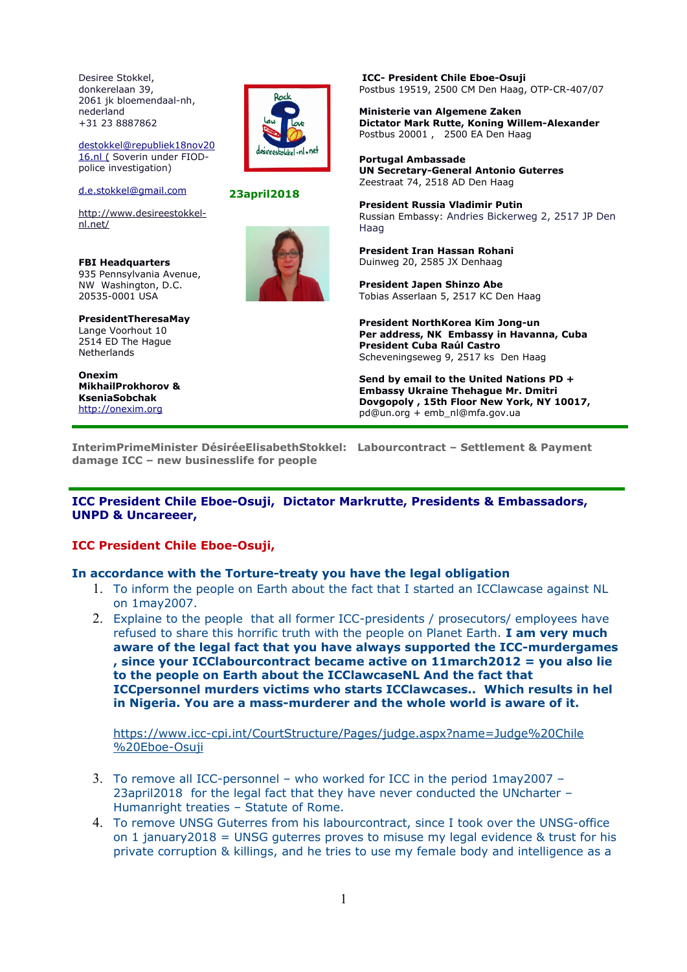Desiree Stokkel, donkerelaan 39, 2061 jk bloemendaal-nh, nederland +31 23 8887862

[destokkel@republiek18nov20](mailto:destokkel@republiek18nov2016.nl) 16.nl (Soverin under FIODpolice investigation)

[d.e.stokkel@gmail.com](mailto:d.e.stokkel@gmail.com)

[http://www.desireestokkel](http://www.desireestokkel-nl.net/)[nl.net/](http://www.desireestokkel-nl.net/)

**FBI Headquarters**  935 Pennsylvania Avenue, NW Washington, D.C. 20535-0001 USA

**PresidentTheresaMay** Lange Voorhout 10 2514 ED The Hague Netherlands

**Onexim MikhailProkhorov & KseniaSobchak** [http://onexim.org](http://onexim.org/)



**23april2018**

**ICC- President Chile Eboe-Osuji**  Postbus 19519, 2500 CM Den Haag, OTP-CR-407/07

**Ministerie van Algemene Zaken Dictator Mark Rutte, Koning Willem-Alexander**  Postbus 20001 , 2500 EA Den Haag

**Portugal Ambassade UN Secretary-General Antonio Guterres** Zeestraat 74, 2518 AD Den Haag

**President Russia Vladimir Putin**  Russian Embassy: Andries Bickerweg 2, 2517 JP Den Haag

**President Iran Hassan Rohani** Duinweg 20, 2585 JX Denhaag

**President Japen Shinzo Abe** Tobias Asserlaan 5, 2517 KC Den Haag

**President NorthKorea Kim Jong-un Per address, NK Embassy in Havanna, Cuba President Cuba Raúl Castro** Scheveningseweg 9, 2517 ks Den Haag

**Send by email to the United Nations PD + Embassy Ukraine Thehague Mr. Dmitri Dovgopoly , 15th Floor New York, NY 10017,** pd@un.org + emb\_nl@mfa.gov.ua

**InterimPrimeMinister DésiréeElisabethStokkel: Labourcontract – Settlement & Payment damage ICC – new businesslife for people** 

**ICC President Chile Eboe-Osuji, Dictator Markrutte, Presidents & Embassadors, UNPD & Uncareeer,** 

### **ICC President Chile Eboe-Osuji,**

### **In accordance with the Torture-treaty you have the legal obligation**

- 1. To inform the people on Earth about the fact that I started an ICClawcase against NL on 1may2007.
- 2. Explaine to the people that all former ICC-presidents / prosecutors/ employees have refused to share this horrific truth with the people on Planet Earth. **I am very much aware of the legal fact that you have always supported the ICC-murdergames , since your ICClabourcontract became active on 11march2012 = you also lie to the people on Earth about the ICClawcaseNL And the fact that ICCpersonnel murders victims who starts ICClawcases.. Which results in hel in Nigeria. You are a mass-murderer and the whole world is aware of it.**

[https://www.icc-cpi.int/CourtStructure/Pages/judge.aspx?name=Judge%20Chile](https://www.icc-cpi.int/CourtStructure/Pages/judge.aspx?name=Judge%20Chile%20Eboe-Osuji) [%20Eboe-Osuji](https://www.icc-cpi.int/CourtStructure/Pages/judge.aspx?name=Judge%20Chile%20Eboe-Osuji)

- 3. To remove all ICC-personnel who worked for ICC in the period 1may2007 23april2018 for the legal fact that they have never conducted the UNcharter – Humanright treaties – Statute of Rome.
- 4. To remove UNSG Guterres from his labourcontract, since I took over the UNSG-office on 1 january 2018 = UNSG guterres proves to misuse my legal evidence  $\&$  trust for his private corruption & killings, and he tries to use my female body and intelligence as a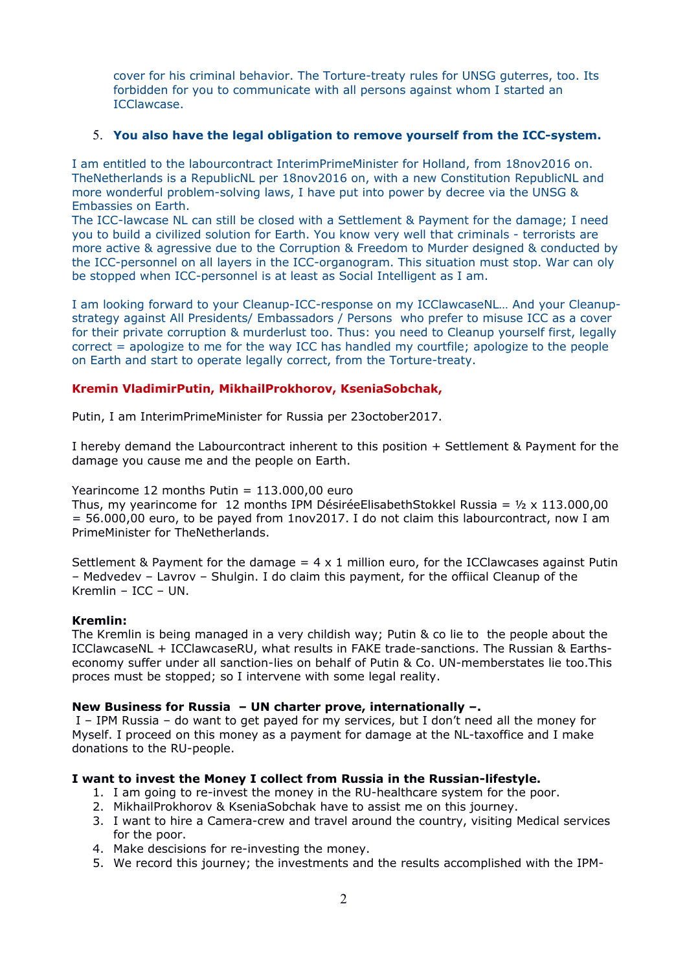cover for his criminal behavior. The Torture-treaty rules for UNSG guterres, too. Its forbidden for you to communicate with all persons against whom I started an ICClawcase.

### 5. **You also have the legal obligation to remove yourself from the ICC-system.**

I am entitled to the labourcontract InterimPrimeMinister for Holland, from 18nov2016 on. TheNetherlands is a RepublicNL per 18nov2016 on, with a new Constitution RepublicNL and more wonderful problem-solving laws, I have put into power by decree via the UNSG & Embassies on Earth.

The ICC-lawcase NL can still be closed with a Settlement & Payment for the damage; I need you to build a civilized solution for Earth. You know very well that criminals - terrorists are more active & agressive due to the Corruption & Freedom to Murder designed & conducted by the ICC-personnel on all layers in the ICC-organogram. This situation must stop. War can oly be stopped when ICC-personnel is at least as Social Intelligent as I am.

I am looking forward to your Cleanup-ICC-response on my ICClawcaseNL… And your Cleanupstrategy against All Presidents/ Embassadors / Persons who prefer to misuse ICC as a cover for their private corruption & murderlust too. Thus: you need to Cleanup yourself first, legally correct = apologize to me for the way ICC has handled my courtfile; apologize to the people on Earth and start to operate legally correct, from the Torture-treaty.

## **Kremin VladimirPutin, MikhailProkhorov, KseniaSobchak,**

Putin, I am InterimPrimeMinister for Russia per 23october2017.

I hereby demand the Labourcontract inherent to this position + Settlement & Payment for the damage you cause me and the people on Earth.

# Yearincome 12 months Putin = 113.000,00 euro

Thus, my yearincome for 12 months IPM DésiréeElisabethStokkel Russia =  $1/2 \times 113.000,00$ = 56.000,00 euro, to be payed from 1nov2017. I do not claim this labourcontract, now I am PrimeMinister for TheNetherlands.

Settlement & Payment for the damage  $= 4 \times 1$  million euro, for the ICClawcases against Putin – Medvedev – Lavrov – Shulgin. I do claim this payment, for the offiical Cleanup of the Kremlin – ICC – UN.

### **Kremlin:**

The Kremlin is being managed in a very childish way; Putin & co lie to the people about the ICClawcaseNL + ICClawcaseRU, what results in FAKE trade-sanctions. The Russian & Earthseconomy suffer under all sanction-lies on behalf of Putin & Co. UN-memberstates lie too.This proces must be stopped; so I intervene with some legal reality.

### **New Business for Russia – UN charter prove, internationally –.**

 I – IPM Russia – do want to get payed for my services, but I don't need all the money for Myself. I proceed on this money as a payment for damage at the NL-taxoffice and I make donations to the RU-people.

### **I want to invest the Money I collect from Russia in the Russian-lifestyle.**

- 1. I am going to re-invest the money in the RU-healthcare system for the poor.
- 2. MikhailProkhorov & KseniaSobchak have to assist me on this journey.
- 3. I want to hire a Camera-crew and travel around the country, visiting Medical services for the poor.
- 4. Make descisions for re-investing the money.
- 5. We record this journey; the investments and the results accomplished with the IPM-